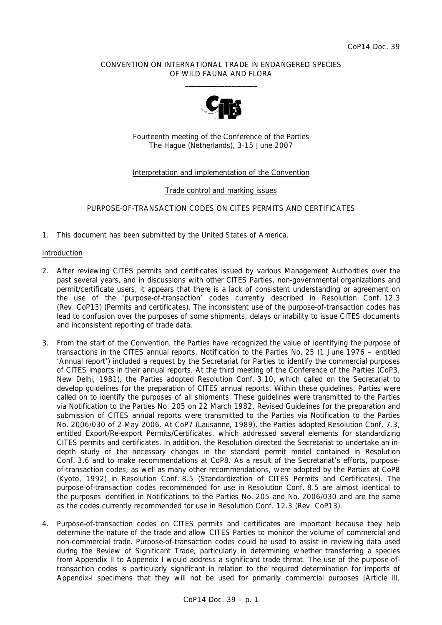### CONVENTION ON INTERNATIONAL TRADE IN ENDANGERED SPECIES OF WILD FAUNA AND FLORA  $\frac{1}{2}$  , and the set of the set of the set of the set of the set of the set of the set of the set of the set of the set of the set of the set of the set of the set of the set of the set of the set of the set of the set



Fourteenth meeting of the Conference of the Parties The Hague (Netherlands), 3-15 June 2007

# Interpretation and implementation of the Convention

### Trade control and marking issues

# PURPOSE-OF-TRANSACTION CODES ON CITES PERMITS AND CERTIFICATES

1. This document has been submitted by the United States of America.

#### Introduction

- 2. After reviewing CITES permits and certificates issued by various Management Authorities over the past several years, and in discussions with other CITES Parties, non-governmental organizations and permit/certificate users, it appears that there is a lack of consistent understanding or agreement on the use of the 'purpose-of-transaction' codes currently described in Resolution Conf. 12.3 (Rev. CoP13) (Permits and certificates). The inconsistent use of the purpose-of-transaction codes has lead to confusion over the purposes of some shipments, delays or inability to issue CITES documents and inconsistent reporting of trade data.
- 3. From the start of the Convention, the Parties have recognized the value of identifying the purpose of transactions in the CITES annual reports. Notification to the Parties No. 25 (1 June 1976 – entitled 'Annual report') included a request by the Secretariat for Parties to identify the commercial purposes of CITES imports in their annual reports. At the third meeting of the Conference of the Parties (CoP3, New Delhi, 1981), the Parties adopted Resolution Conf. 3.10, which called on the Secretariat to develop guidelines for the preparation of CITES annual reports. Within these guidelines, Parties were called on to identify the purposes of all shipments. These guidelines were transmitted to the Parties via Notification to the Parties No. 205 on 22 March 1982. Revised *Guidelines for the preparation and submission of CITES annual reports* were transmitted to the Parties via Notification to the Parties No. 2006/030 of 2 May 2006. At CoP7 (Lausanne, 1989), the Parties adopted Resolution Conf. 7.3, entitled Export/Re-export Permits/Certificates, which addressed several elements for standardizing CITES permits and certificates. In addition, the Resolution directed the Secretariat to undertake an indepth study of the necessary changes in the standard permit model contained in Resolution Conf. 3.6 and to make recommendations at CoP8. As a result of the Secretariat's efforts, purposeof-transaction codes, as well as many other recommendations, were adopted by the Parties at CoP8 (Kyoto, 1992) in Resolution Conf. 8.5 (Standardization of CITES Permits and Certificates). The purpose-of-transaction codes recommended for use in Resolution Conf. 8.5 are almost identical to the purposes identified in Notifications to the Parties No. 205 and No. 2006/030 and are the same as the codes currently recommended for use in Resolution Conf. 12.3 (Rev. CoP13).
- 4. Purpose-of-transaction codes on CITES permits and certificates are important because they help determine the nature of the trade and allow CITES Parties to monitor the volume of commercial and non-commercial trade. Purpose-of-transaction codes could be used to assist in reviewing data used during the Review of Significant Trade, particularly in determining whether transferring a species from Appendix II to Appendix I would address a significant trade threat. The use of the purpose-oftransaction codes is particularly significant in relation to the required determination for imports of Appendix-I specimens that they will not be used for primarily commercial purposes [Article III,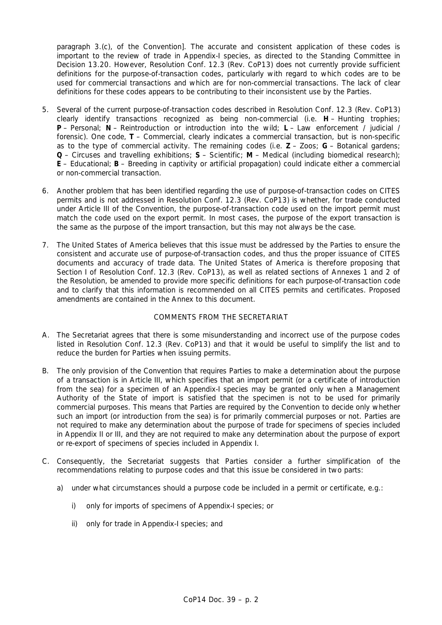paragraph 3.(c), of the Convention]. The accurate and consistent application of these codes is important to the review of trade in Appendix-I species, as directed to the Standing Committee in Decision 13.20. However, Resolution Conf. 12.3 (Rev. CoP13) does not currently provide sufficient definitions for the purpose-of-transaction codes, particularly with regard to which codes are to be used for commercial transactions and which are for non-commercial transactions. The lack of clear definitions for these codes appears to be contributing to their inconsistent use by the Parties.

- 5. Several of the current purpose-of-transaction codes described in Resolution Conf. 12.3 (Rev. CoP13) clearly identify transactions recognized as being non-commercial (i.e. **H** – Hunting trophies; **P** – Personal; **N** – Reintroduction or introduction into the wild; **L** – Law enforcement / judicial / forensic). One code, **T** – Commercial, clearly indicates a commercial transaction, but is non-specific as to the type of commercial activity. The remaining codes (i.e. **Z** – Zoos; **G** – Botanical gardens; **Q** – Circuses and travelling exhibitions; **S** – Scientific; **M** – Medical (including biomedical research); **E** – Educational; **B** – Breeding in captivity or artificial propagation) could indicate either a commercial or non-commercial transaction.
- 6. Another problem that has been identified regarding the use of purpose-of-transaction codes on CITES permits and is not addressed in Resolution Conf. 12.3 (Rev. CoP13) is whether, for trade conducted under Article III of the Convention, the purpose-of-transaction code used on the import permit must match the code used on the export permit. In most cases, the purpose of the export transaction is the same as the purpose of the import transaction, but this may not always be the case.
- 7. The United States of America believes that this issue must be addressed by the Parties to ensure the consistent and accurate use of purpose-of-transaction codes, and thus the proper issuance of CITES documents and accuracy of trade data. The United States of America is therefore proposing that Section I of Resolution Conf. 12.3 (Rev. CoP13), as well as related sections of Annexes 1 and 2 of the Resolution, be amended to provide more specific definitions for each purpose-of-transaction code and to clarify that this information is recommended on all CITES permits and certificates. Proposed amendments are contained in the Annex to this document.

# COMMENTS FROM THE SECRETARIAT

- A. The Secretariat agrees that there is some misunderstanding and incorrect use of the purpose codes listed in Resolution Conf. 12.3 (Rev. CoP13) and that it would be useful to simplify the list and to reduce the burden for Parties when issuing permits.
- B. The only provision of the Convention that requires Parties to make a determination about the purpose of a transaction is in Article III, which specifies that an import permit (or a certificate of introduction from the sea) for a specimen of an Appendix-I species may be granted only when a Management Authority of the State of import is satisfied that the specimen is not to be used for primarily commercial purposes. This means that Parties are required by the Convention to decide only whether such an import (or introduction from the sea) is for primarily commercial purposes or not. Parties are not required to make any determination about the purpose of trade for specimens of species included in Appendix II or III, and they are not required to make any determination about the purpose of export or re-export of specimens of species included in Appendix I.
- C. Consequently, the Secretariat suggests that Parties consider a further simplification of the recommendations relating to purpose codes and that this issue be considered in two parts:
	- a) under what circumstances should a purpose code be included in a permit or certificate, e.g.:
		- i) only for imports of specimens of Appendix-I species; or
		- ii) only for trade in Appendix-I species; and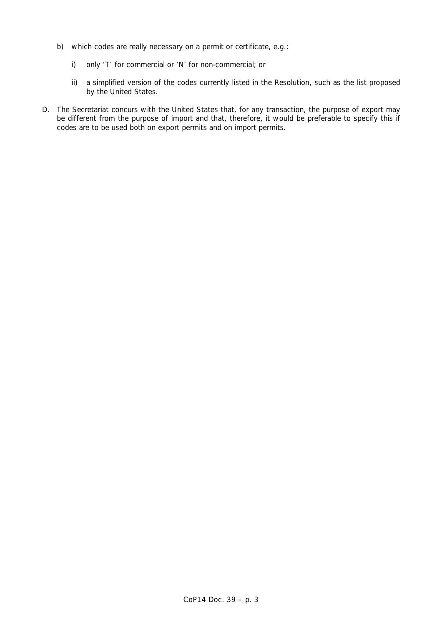- b) which codes are really necessary on a permit or certificate, e.g.:
	- i) only 'T' for commercial or 'N' for non-commercial; or
	- ii) a simplified version of the codes currently listed in the Resolution, such as the list proposed by the United States.
- D. The Secretariat concurs with the United States that, for any transaction, the purpose of export may be different from the purpose of import and that, therefore, it would be preferable to specify this if codes are to be used both on export permits and on import permits.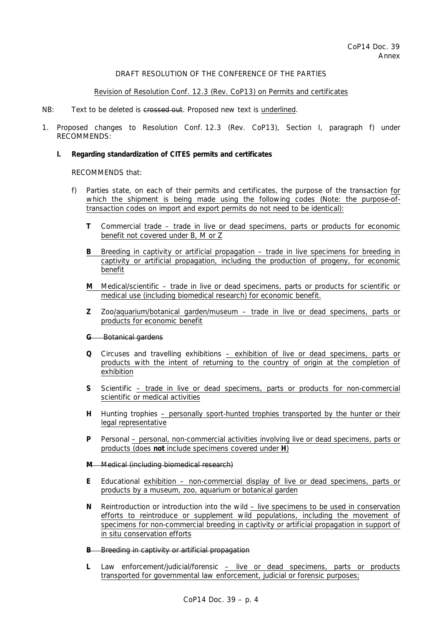# DRAFT RESOLUTION OF THE CONFERENCE OF THE PARTIES

# Revision of Resolution Conf. 12.3 (Rev. CoP13) on Permits and certificates

#### NB: Text to be deleted is crossed out. Proposed new text is underlined.

1. Proposed changes to Resolution Conf. 12.3 (Rev. CoP13), Section I, paragraph f) under RECOMMENDS:

### *I. Regarding standardization of CITES permits and certificates*

### RECOMMENDS that:

- f) Parties state, on each of their permits and certificates, the purpose of the transaction for which the shipment is being made using the following codes (Note: the purpose-oftransaction codes on import and export permits do not need to be identical):
	- **T** Commercial trade trade in live or dead specimens, parts or products for economic benefit not covered under B, M or Z
	- **B** Breeding in captivity or artificial propagation trade in live specimens for breeding in captivity or artificial propagation, including the production of progeny, for economic benefit
	- **M** Medical/scientific trade in live or dead specimens, parts or products for scientific or medical use (including biomedical research) for economic benefit.
	- **Z** Zoo/aquarium/botanical garden/museum trade in live or dead specimens, parts or products for economic benefit

#### **G** Botanical gardens

- **Q** Circuses and travelling exhibitions exhibition of live or dead specimens, parts or products with the intent of returning to the country of origin at the completion of exhibition
- **S** Scientific trade in live or dead specimens, parts or products for non-commercial scientific or medical activities
- **H** Hunting trophies personally sport-hunted trophies transported by the hunter or their legal representative
- **P** Personal personal, non-commercial activities involving live or dead specimens, parts or products (does **not** include specimens covered under **H**)
- **M** Medical (including biomedical research)
- **E** Educational exhibition non-commercial display of live or dead specimens, parts or products by a museum, zoo, aquarium or botanical garden
- **N** Reintroduction or introduction into the wild live specimens to be used in conservation efforts to reintroduce or supplement wild populations, including the movement of specimens for non-commercial breeding in captivity or artificial propagation in support of *in situ* conservation efforts

# **B** Breeding in captivity or artificial propagation

 **L** Law enforcement/judicial/forensic – live or dead specimens, parts or products transported for governmental law enforcement, judicial or forensic purposes;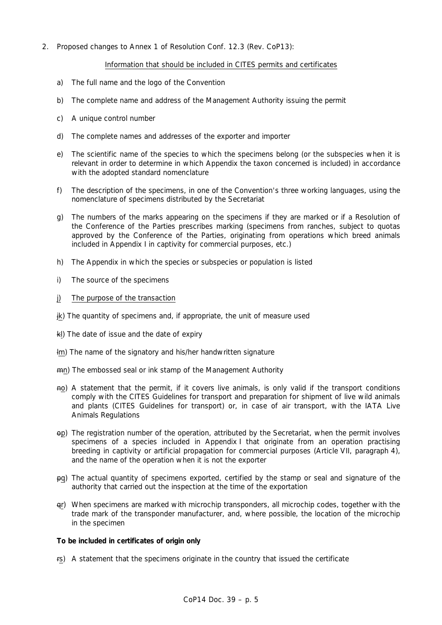2. Proposed changes to Annex 1 of Resolution Conf. 12.3 (Rev. CoP13):

# Information that should be included in CITES permits and certificates

- a) The full name and the logo of the Convention
- b) The complete name and address of the Management Authority issuing the permit
- c) A unique control number
- d) The complete names and addresses of the exporter and importer
- e) The scientific name of the species to which the specimens belong (or the subspecies when it is relevant in order to determine in which Appendix the taxon concerned is included) in accordance with the adopted standard nomenclature
- f) The description of the specimens, in one of the Convention's three working languages, using the nomenclature of specimens distributed by the Secretariat
- g) The numbers of the marks appearing on the specimens if they are marked or if a Resolution of the Conference of the Parties prescribes marking (specimens from ranches, subject to quotas approved by the Conference of the Parties, originating from operations which breed animals included in Appendix I in captivity for commercial purposes, etc.)
- h) The Appendix in which the species or subspecies or population is listed
- i) The source of the specimens
- j) The purpose of the transaction
- jk) The quantity of specimens and, if appropriate, the unit of measure used
- kl) The date of issue and the date of expiry
- lm) The name of the signatory and his/her handwritten signature
- mn) The embossed seal or ink stamp of the Management Authority
- no) A statement that the permit, if it covers live animals, is only valid if the transport conditions comply with the *CITES Guidelines for transport and preparation for shipment of live wild animals and plants (CITES Guidelines for transport)* or, in case of air transport, with the *IATA Live Animals Regulations*
- op) The registration number of the operation, attributed by the Secretariat, when the permit involves specimens of a species included in Appendix I that originate from an operation practising breeding in captivity or artificial propagation for commercial purposes (Article VII, paragraph 4), and the name of the operation when it is not the exporter
- pq) The actual quantity of specimens exported, certified by the stamp or seal and signature of the authority that carried out the inspection at the time of the exportation
- qr) When specimens are marked with microchip transponders, all microchip codes, together with the trade mark of the transponder manufacturer, and, where possible, the location of the microchip in the specimen

#### *To be included in certificates of origin only*

rs) A statement that the specimens originate in the country that issued the certificate